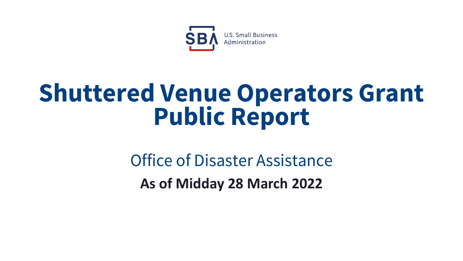

# **Shuttered Venue Operators Grant Public Report**

Office of Disaster Assistance **As of Midday 28 March 2022**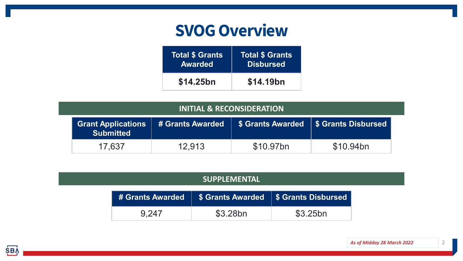## **SVOG Overview**

| <b>Total \$ Grants</b> | <b>Total \$ Grants</b> |
|------------------------|------------------------|
| <b>Awarded</b>         | <b>Disbursed</b>       |
| \$14.25bn              | \$14.19bn              |

| <b>INITIAL &amp; RECONSIDERATION</b> |                                            |           |                                                  |  |  |
|--------------------------------------|--------------------------------------------|-----------|--------------------------------------------------|--|--|
| <b>Submitted</b>                     | <b>Grant Applications # Grants Awarded</b> |           | <b>\$ Grants Awarded   \$ Grants Disbursed  </b> |  |  |
| 17.637                               | 12.913                                     | \$10.97bn | \$10.94bn                                        |  |  |

#### **SUPPLEMENTAL**

|       | # Grants Awarded   \$ Grants Awarded   \$ Grants Disbursed |          |
|-------|------------------------------------------------------------|----------|
| 9.247 | \$3.28bn                                                   | \$3.25bn |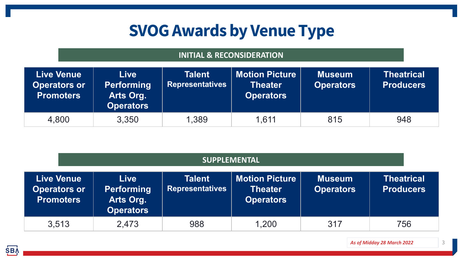## **SVOG Awards by Venue Type**

#### **INITIAL & RECONSIDERATION**

| <b>Live Venue</b><br><b>Operators or</b><br><b>Promoters</b> | <b>Live</b><br><b>Performing</b><br>Arts Org.<br><b>Operators</b> | <b>Talent</b><br><b>Representatives</b> | <b>Motion Picture</b><br><b>Theater</b><br><b>Operators</b> | <b>Museum</b><br><b>Operators</b> | <b>Theatrical</b><br><b>Producers</b> |
|--------------------------------------------------------------|-------------------------------------------------------------------|-----------------------------------------|-------------------------------------------------------------|-----------------------------------|---------------------------------------|
| 4,800                                                        | 3,350                                                             | 1,389                                   | 1.611                                                       | 815                               | 948                                   |

| <b>SUPPLEMENTAL</b>                                          |                                                                   |                                         |                                                             |                                   |                                       |
|--------------------------------------------------------------|-------------------------------------------------------------------|-----------------------------------------|-------------------------------------------------------------|-----------------------------------|---------------------------------------|
| <b>Live Venue</b><br><b>Operators or</b><br><b>Promoters</b> | <b>Live</b><br><b>Performing</b><br>Arts Org.<br><b>Operators</b> | <b>Talent</b><br><b>Representatives</b> | <b>Motion Picture</b><br><b>Theater</b><br><b>Operators</b> | <b>Museum</b><br><b>Operators</b> | <b>Theatrical</b><br><b>Producers</b> |
| 3,513                                                        | 2,473                                                             | 988                                     | 1,200                                                       | 317                               | 756                                   |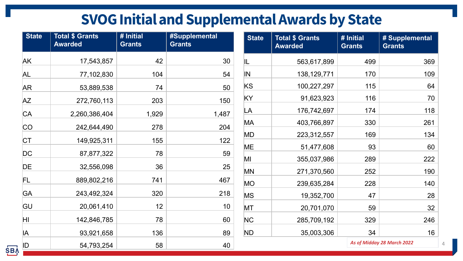## **SVOG Initial and Supplemental Awards by State**

| <b>State</b> | <b>Total \$ Grants</b><br><b>Awarded</b> | # Initial<br><b>Grants</b> | #Supplemental<br><b>Grants</b> | <b>State</b> | <b>Total \$ Grants</b><br><b>Awarded</b> | # Initial<br><b>Grants</b> | # Supplemental<br><b>Grants</b> |
|--------------|------------------------------------------|----------------------------|--------------------------------|--------------|------------------------------------------|----------------------------|---------------------------------|
| AK           | 17,543,857                               | 42                         | 30                             | IL           | 563,617,899                              | 499                        | 369                             |
| AL           | 77,102,830                               | 104                        | 54                             | IN           | 138, 129, 771                            | 170                        | 109                             |
| <b>AR</b>    | 53,889,538                               | 74                         | 50                             | <b>KS</b>    | 100,227,297                              | 115                        | 64                              |
| <b>AZ</b>    | 272,760,113                              | 203                        | 150                            | KY           | 91,623,923                               | 116                        | 70                              |
| <b>CA</b>    | 2,260,386,404                            | 1,929                      | 1,487                          | LA           | 176,742,697                              | 174                        | 118                             |
| <b>CO</b>    | 242,644,490                              | 278                        | 204                            | MA           | 403,766,897                              | 330                        | 261                             |
| <b>CT</b>    | 149,925,311                              | 155                        | 122                            | MD           | 223,312,557                              | 169                        | 134                             |
| DC           | 87,877,322                               | 78                         | 59                             | ME           | 51,477,608                               | 93                         | 60                              |
|              |                                          |                            |                                | MI           | 355,037,986                              | 289                        | 222                             |
| DE           | 32,556,098                               | 36                         | 25                             | MN           | 271,370,560                              | 252                        | 190                             |
| FL           | 889,802,216                              | 741                        | 467                            | <b>MO</b>    | 239,635,284                              | 228                        | 140                             |
| <b>GA</b>    | 243,492,324                              | 320                        | 218                            | <b>MS</b>    | 19,352,700                               | 47                         | 28                              |
| GU           | 20,061,410                               | 12                         | 10 <sup>°</sup>                | MT           | 20,701,070                               | 59                         | 32                              |
| ΗI           | 142,846,785                              | 78                         | 60                             | NC           | 285,709,192                              | 329                        | 246                             |
| IA           | 93,921,658                               | 136                        | 89                             | ND           | 35,003,306                               | 34                         | 16                              |
| ID           | 54,793,254                               | 58                         | 40                             |              |                                          |                            | As of Midday 28 March 2022      |

**SBA**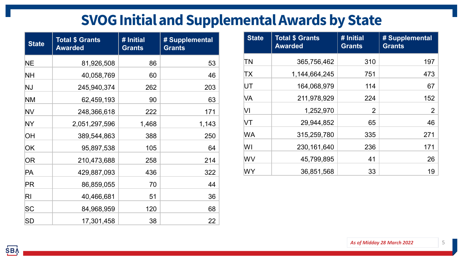### **SVOG Initial and Supplemental Awards by State**

| <b>State</b>   | <b>Total \$ Grants</b><br><b>Awarded</b> | # Initial<br><b>Grants</b> | # Supplemental<br><b>Grants</b> |
|----------------|------------------------------------------|----------------------------|---------------------------------|
| <b>NE</b>      | 81,926,508                               | 86                         | 53                              |
| <b>NH</b>      | 40,058,769                               | 60                         | 46                              |
| NJ             | 245,940,374                              | 262                        | 203                             |
| <b>NM</b>      | 62,459,193                               | 90                         | 63                              |
| <b>NV</b>      | 248,366,618                              | 222                        | 171                             |
| NY             | 2,051,297,596                            | 1,468                      | 1,143                           |
| ЮH             | 389,544,863                              | 388                        | 250                             |
| <b>OK</b>      | 95,897,538                               | 105                        | 64                              |
| <b>OR</b>      | 210,473,688                              | 258                        | 214                             |
| PA             | 429,887,093                              | 436                        | 322                             |
| PR             | 86,859,055                               | 70                         | 44                              |
| R <sub>l</sub> | 40,466,681                               | 51                         | 36                              |
| SC             | 84,968,959                               | 120                        | 68                              |
| <b>SD</b>      | 17,301,458                               | 38                         | 22                              |

| <b>State</b> | <b>Total \$ Grants</b><br><b>Awarded</b> | # Initial<br><b>Grants</b> | # Supplemental<br><b>Grants</b> |
|--------------|------------------------------------------|----------------------------|---------------------------------|
| ΤN           | 365,756,462                              | 310                        | 197                             |
| TX           | 1,144,664,245                            | 751                        | 473                             |
| UT           | 164,068,979                              | 114                        | 67                              |
| VA           | 211,978,929                              | 224                        | 152                             |
| VI           | 1,252,970                                | 2                          | 2                               |
| VT           | 29,944,852                               | 65                         | 46                              |
| WA           | 315,259,780                              | 335                        | 271                             |
| WI           | 230, 161, 640                            | 236                        | 171                             |
| WV           | 45,799,895                               | 41                         | 26                              |
| WY           | 36,851,568                               | 33                         | 19                              |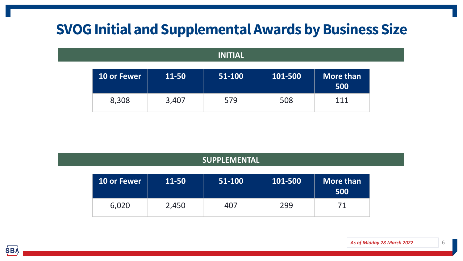### **SVOG Initial and Supplemental Awards by Business Size**

#### **INITIAL**

| <b>10 or Fewer</b> | 11-50 | 51-100 | 101-500 | More than<br>500 |
|--------------------|-------|--------|---------|------------------|
| 8,308              | 3,407 | 579    | 508     | 111              |

| <b>SUPPLEMENTAL</b> |       |        |         |                  |  |  |
|---------------------|-------|--------|---------|------------------|--|--|
| <b>10 or Fewer</b>  | 11-50 | 51-100 | 101-500 | More than<br>500 |  |  |
| 6,020               | 2,450 | 407    | 299     | 71               |  |  |